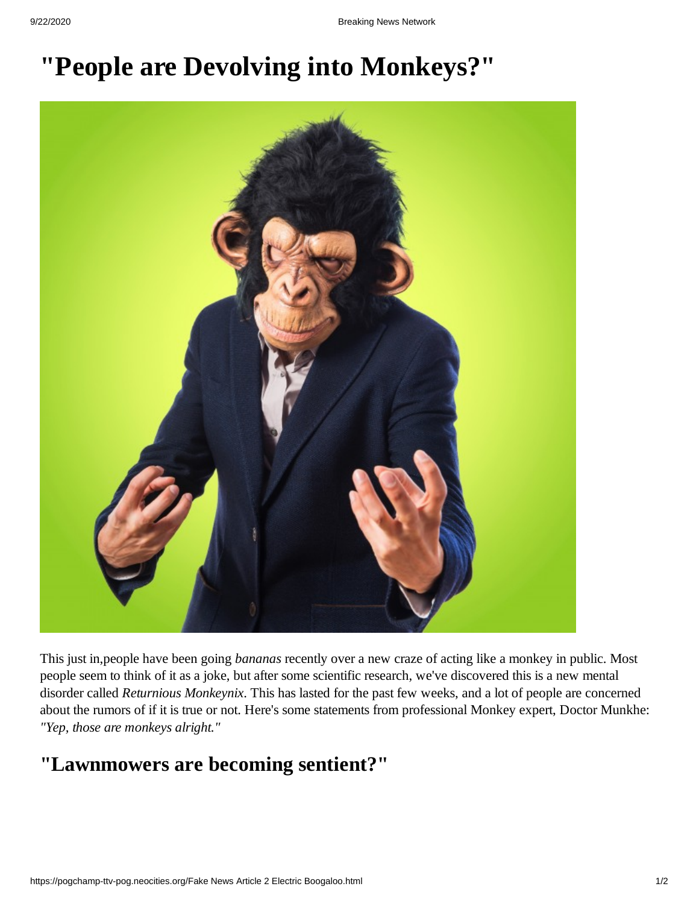## **"People are Devolving into Monkeys?"**



This just in,people have been going *bananas* recently over a new craze of acting like a monkey in public. Most people seem to think of it as a joke, but after some scientific research, we've discovered this is a new mental disorder called *Returnious Monkeynix*. This has lasted for the past few weeks, and a lot of people are concerned about the rumors of if it is true or not. Here's some statements from professional Monkey expert, Doctor Munkhe: *"Yep, those are monkeys alright."*

## **"Lawnmowers are becoming sentient?"**